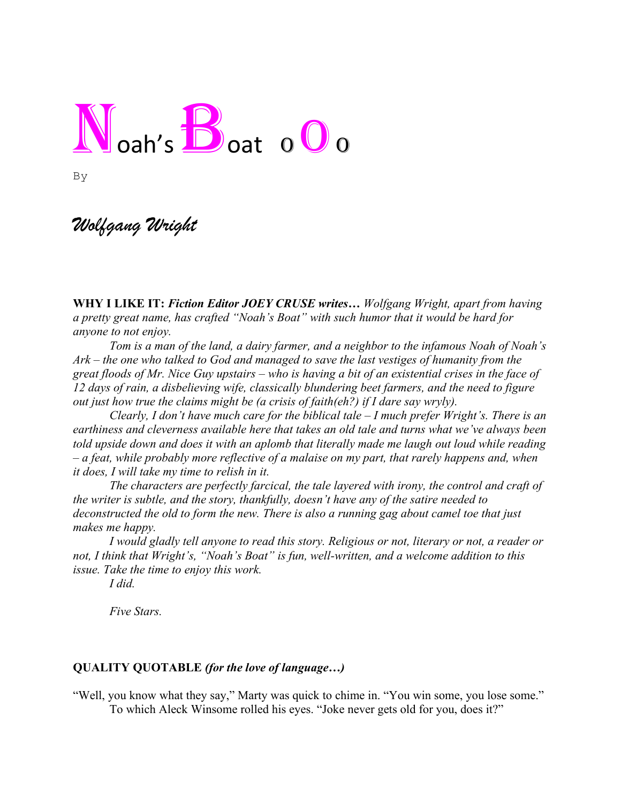## $N_{\text{oah's}}$  $B_{\text{oat}}$  o  $0$  o

By

## *Wolfgang Wright*

**WHY I LIKE IT:** *Fiction Editor JOEY CRUSE writes… Wolfgang Wright, apart from having a pretty great name, has crafted "Noah's Boat" with such humor that it would be hard for anyone to not enjoy.*

*Tom is a man of the land, a dairy farmer, and a neighbor to the infamous Noah of Noah's Ark – the one who talked to God and managed to save the last vestiges of humanity from the great floods of Mr. Nice Guy upstairs – who is having a bit of an existential crises in the face of 12 days of rain, a disbelieving wife, classically blundering beet farmers, and the need to figure out just how true the claims might be (a crisis of faith(eh?) if I dare say wryly).*

*Clearly, I don't have much care for the biblical tale – I much prefer Wright's. There is an earthiness and cleverness available here that takes an old tale and turns what we've always been told upside down and does it with an aplomb that literally made me laugh out loud while reading – a feat, while probably more reflective of a malaise on my part, that rarely happens and, when it does, I will take my time to relish in it.*

*The characters are perfectly farcical, the tale layered with irony, the control and craft of the writer is subtle, and the story, thankfully, doesn't have any of the satire needed to deconstructed the old to form the new. There is also a running gag about camel toe that just makes me happy.* 

*I would gladly tell anyone to read this story. Religious or not, literary or not, a reader or not, I think that Wright's, "Noah's Boat" is fun, well-written, and a welcome addition to this issue. Take the time to enjoy this work.* 

*I did.* 

*Five Stars.* 

## **QUALITY QUOTABLE** *(for the love of language…)*

"Well, you know what they say," Marty was quick to chime in. "You win some, you lose some." To which Aleck Winsome rolled his eyes. "Joke never gets old for you, does it?"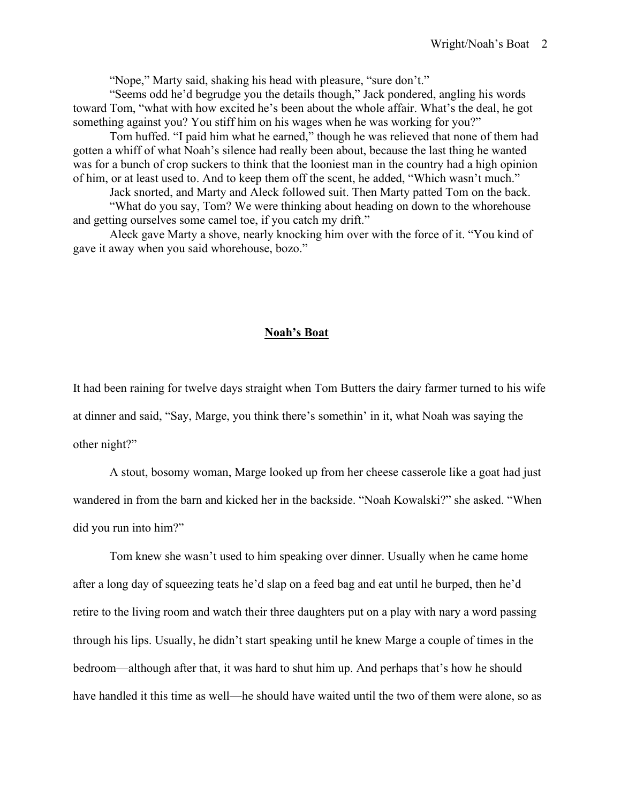"Nope," Marty said, shaking his head with pleasure, "sure don't."

"Seems odd he'd begrudge you the details though," Jack pondered, angling his words toward Tom, "what with how excited he's been about the whole affair. What's the deal, he got something against you? You stiff him on his wages when he was working for you?"

Tom huffed. "I paid him what he earned," though he was relieved that none of them had gotten a whiff of what Noah's silence had really been about, because the last thing he wanted was for a bunch of crop suckers to think that the looniest man in the country had a high opinion of him, or at least used to. And to keep them off the scent, he added, "Which wasn't much."

Jack snorted, and Marty and Aleck followed suit. Then Marty patted Tom on the back.

"What do you say, Tom? We were thinking about heading on down to the whorehouse and getting ourselves some camel toe, if you catch my drift."

Aleck gave Marty a shove, nearly knocking him over with the force of it. "You kind of gave it away when you said whorehouse, bozo."

## **Noah's Boat**

It had been raining for twelve days straight when Tom Butters the dairy farmer turned to his wife at dinner and said, "Say, Marge, you think there's somethin' in it, what Noah was saying the other night?"

A stout, bosomy woman, Marge looked up from her cheese casserole like a goat had just wandered in from the barn and kicked her in the backside. "Noah Kowalski?" she asked. "When did you run into him?"

Tom knew she wasn't used to him speaking over dinner. Usually when he came home after a long day of squeezing teats he'd slap on a feed bag and eat until he burped, then he'd retire to the living room and watch their three daughters put on a play with nary a word passing through his lips. Usually, he didn't start speaking until he knew Marge a couple of times in the bedroom—although after that, it was hard to shut him up. And perhaps that's how he should have handled it this time as well—he should have waited until the two of them were alone, so as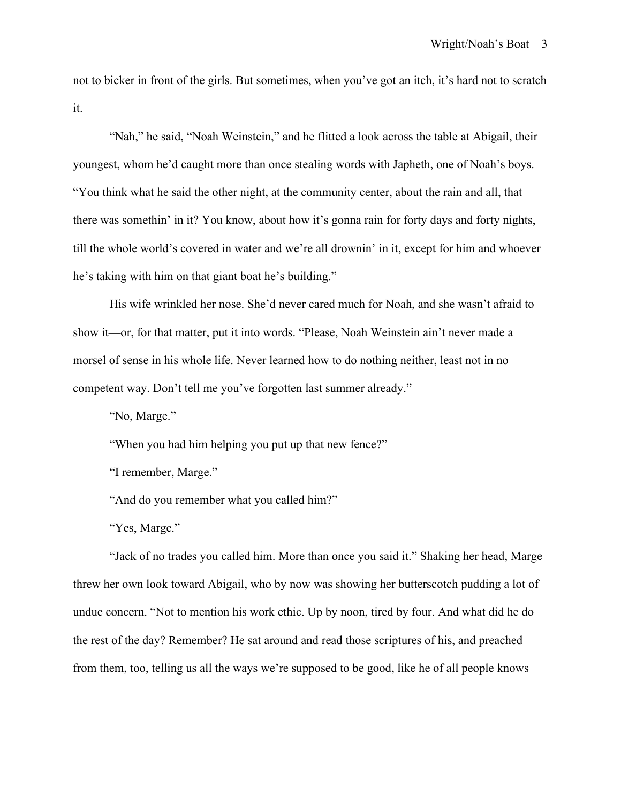not to bicker in front of the girls. But sometimes, when you've got an itch, it's hard not to scratch it.

"Nah," he said, "Noah Weinstein," and he flitted a look across the table at Abigail, their youngest, whom he'd caught more than once stealing words with Japheth, one of Noah's boys. "You think what he said the other night, at the community center, about the rain and all, that there was somethin' in it? You know, about how it's gonna rain for forty days and forty nights, till the whole world's covered in water and we're all drownin' in it, except for him and whoever he's taking with him on that giant boat he's building."

His wife wrinkled her nose. She'd never cared much for Noah, and she wasn't afraid to show it—or, for that matter, put it into words. "Please, Noah Weinstein ain't never made a morsel of sense in his whole life. Never learned how to do nothing neither, least not in no competent way. Don't tell me you've forgotten last summer already."

"No, Marge."

"When you had him helping you put up that new fence?"

"I remember, Marge."

"And do you remember what you called him?"

"Yes, Marge."

"Jack of no trades you called him. More than once you said it." Shaking her head, Marge threw her own look toward Abigail, who by now was showing her butterscotch pudding a lot of undue concern. "Not to mention his work ethic. Up by noon, tired by four. And what did he do the rest of the day? Remember? He sat around and read those scriptures of his, and preached from them, too, telling us all the ways we're supposed to be good, like he of all people knows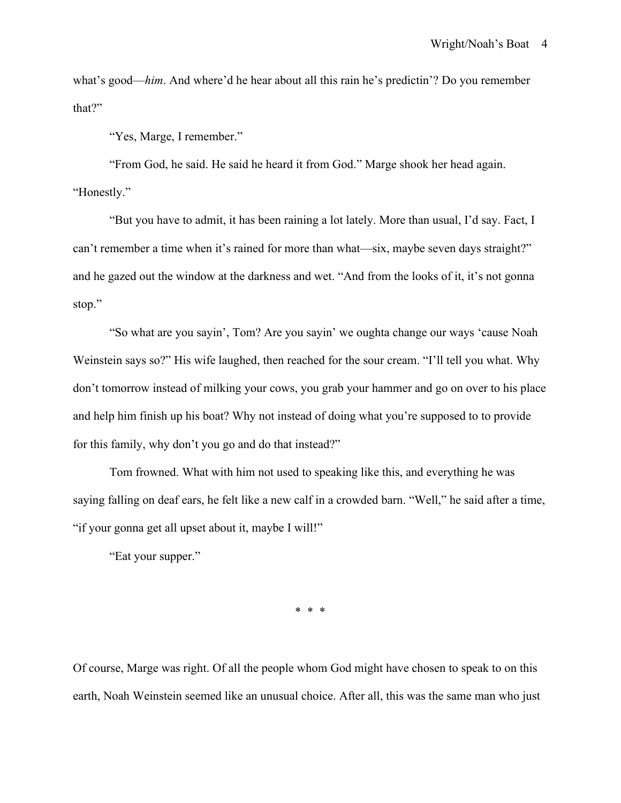what's good—*him*. And where'd he hear about all this rain he's predictin'? Do you remember that?"

"Yes, Marge, I remember."

"From God, he said. He said he heard it from God." Marge shook her head again. "Honestly."

"But you have to admit, it has been raining a lot lately. More than usual, I'd say. Fact, I can't remember a time when it's rained for more than what—six, maybe seven days straight?" and he gazed out the window at the darkness and wet. "And from the looks of it, it's not gonna stop."

"So what are you sayin', Tom? Are you sayin' we oughta change our ways 'cause Noah Weinstein says so?" His wife laughed, then reached for the sour cream. "I'll tell you what. Why don't tomorrow instead of milking your cows, you grab your hammer and go on over to his place and help him finish up his boat? Why not instead of doing what you're supposed to to provide for this family, why don't you go and do that instead?"

Tom frowned. What with him not used to speaking like this, and everything he was saying falling on deaf ears, he felt like a new calf in a crowded barn. "Well," he said after a time, "if your gonna get all upset about it, maybe I will!"

"Eat your supper."

\* \* \*

Of course, Marge was right. Of all the people whom God might have chosen to speak to on this earth, Noah Weinstein seemed like an unusual choice. After all, this was the same man who just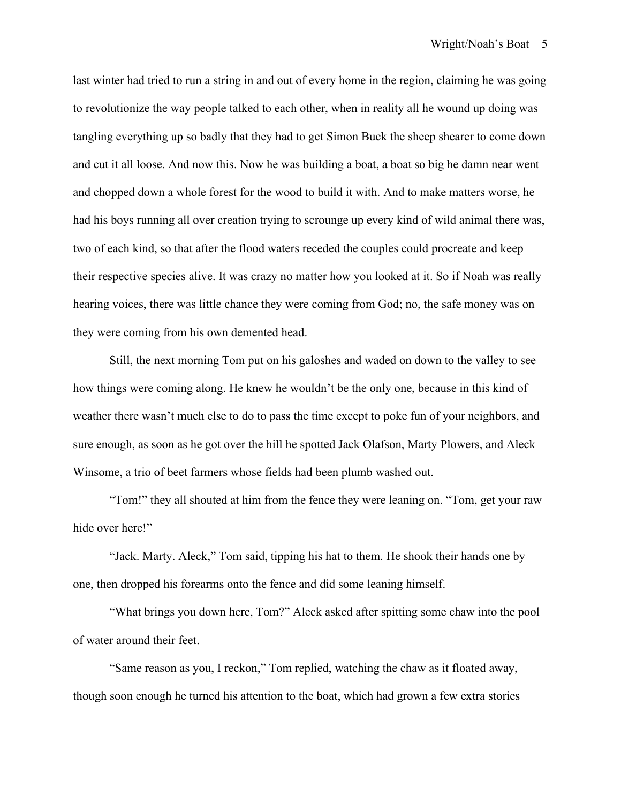last winter had tried to run a string in and out of every home in the region, claiming he was going to revolutionize the way people talked to each other, when in reality all he wound up doing was tangling everything up so badly that they had to get Simon Buck the sheep shearer to come down and cut it all loose. And now this. Now he was building a boat, a boat so big he damn near went and chopped down a whole forest for the wood to build it with. And to make matters worse, he had his boys running all over creation trying to scrounge up every kind of wild animal there was, two of each kind, so that after the flood waters receded the couples could procreate and keep their respective species alive. It was crazy no matter how you looked at it. So if Noah was really hearing voices, there was little chance they were coming from God; no, the safe money was on they were coming from his own demented head.

Still, the next morning Tom put on his galoshes and waded on down to the valley to see how things were coming along. He knew he wouldn't be the only one, because in this kind of weather there wasn't much else to do to pass the time except to poke fun of your neighbors, and sure enough, as soon as he got over the hill he spotted Jack Olafson, Marty Plowers, and Aleck Winsome, a trio of beet farmers whose fields had been plumb washed out.

"Tom!" they all shouted at him from the fence they were leaning on. "Tom, get your raw hide over here!"

"Jack. Marty. Aleck," Tom said, tipping his hat to them. He shook their hands one by one, then dropped his forearms onto the fence and did some leaning himself.

"What brings you down here, Tom?" Aleck asked after spitting some chaw into the pool of water around their feet.

"Same reason as you, I reckon," Tom replied, watching the chaw as it floated away, though soon enough he turned his attention to the boat, which had grown a few extra stories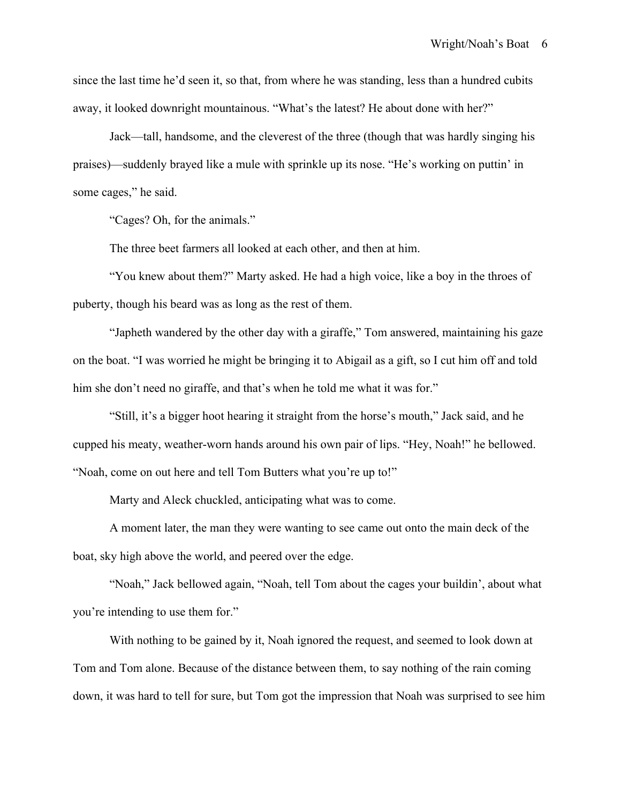since the last time he'd seen it, so that, from where he was standing, less than a hundred cubits away, it looked downright mountainous. "What's the latest? He about done with her?"

Jack—tall, handsome, and the cleverest of the three (though that was hardly singing his praises)—suddenly brayed like a mule with sprinkle up its nose. "He's working on puttin' in some cages," he said.

"Cages? Oh, for the animals."

The three beet farmers all looked at each other, and then at him.

"You knew about them?" Marty asked. He had a high voice, like a boy in the throes of puberty, though his beard was as long as the rest of them.

"Japheth wandered by the other day with a giraffe," Tom answered, maintaining his gaze on the boat. "I was worried he might be bringing it to Abigail as a gift, so I cut him off and told him she don't need no giraffe, and that's when he told me what it was for."

"Still, it's a bigger hoot hearing it straight from the horse's mouth," Jack said, and he cupped his meaty, weather-worn hands around his own pair of lips. "Hey, Noah!" he bellowed. "Noah, come on out here and tell Tom Butters what you're up to!"

Marty and Aleck chuckled, anticipating what was to come.

A moment later, the man they were wanting to see came out onto the main deck of the boat, sky high above the world, and peered over the edge.

"Noah," Jack bellowed again, "Noah, tell Tom about the cages your buildin', about what you're intending to use them for."

With nothing to be gained by it, Noah ignored the request, and seemed to look down at Tom and Tom alone. Because of the distance between them, to say nothing of the rain coming down, it was hard to tell for sure, but Tom got the impression that Noah was surprised to see him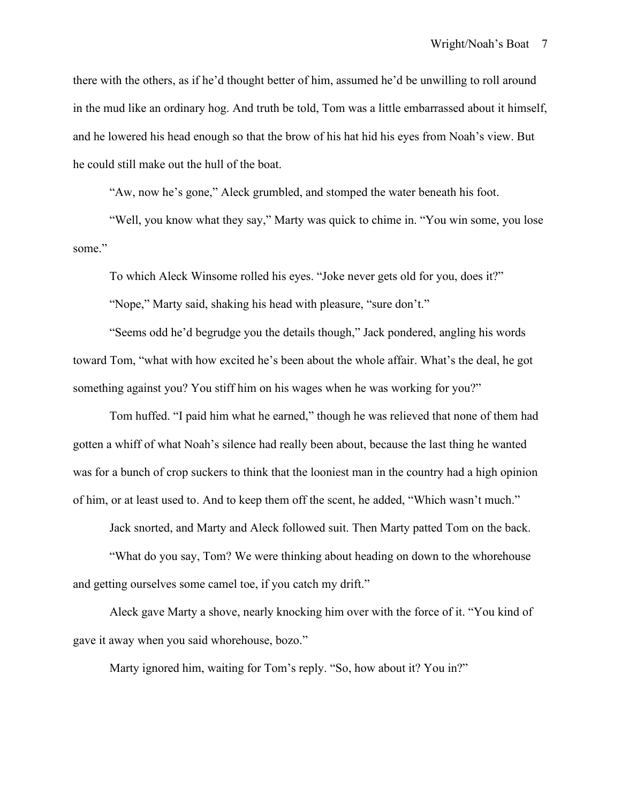there with the others, as if he'd thought better of him, assumed he'd be unwilling to roll around in the mud like an ordinary hog. And truth be told, Tom was a little embarrassed about it himself, and he lowered his head enough so that the brow of his hat hid his eyes from Noah's view. But he could still make out the hull of the boat.

"Aw, now he's gone," Aleck grumbled, and stomped the water beneath his foot.

"Well, you know what they say," Marty was quick to chime in. "You win some, you lose some."

To which Aleck Winsome rolled his eyes. "Joke never gets old for you, does it?"

"Nope," Marty said, shaking his head with pleasure, "sure don't."

"Seems odd he'd begrudge you the details though," Jack pondered, angling his words toward Tom, "what with how excited he's been about the whole affair. What's the deal, he got something against you? You stiff him on his wages when he was working for you?"

Tom huffed. "I paid him what he earned," though he was relieved that none of them had gotten a whiff of what Noah's silence had really been about, because the last thing he wanted was for a bunch of crop suckers to think that the looniest man in the country had a high opinion of him, or at least used to. And to keep them off the scent, he added, "Which wasn't much."

Jack snorted, and Marty and Aleck followed suit. Then Marty patted Tom on the back.

"What do you say, Tom? We were thinking about heading on down to the whorehouse and getting ourselves some camel toe, if you catch my drift."

Aleck gave Marty a shove, nearly knocking him over with the force of it. "You kind of gave it away when you said whorehouse, bozo."

Marty ignored him, waiting for Tom's reply. "So, how about it? You in?"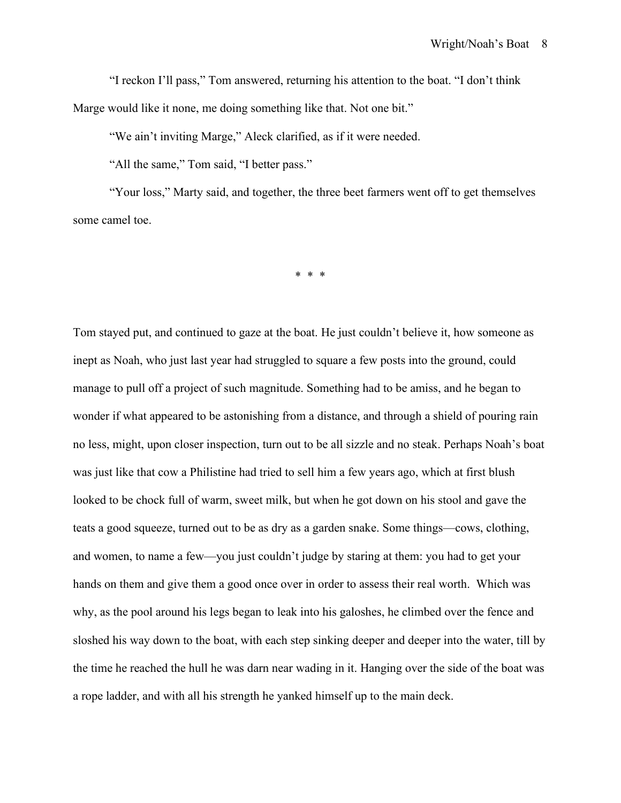"I reckon I'll pass," Tom answered, returning his attention to the boat. "I don't think Marge would like it none, me doing something like that. Not one bit."

"We ain't inviting Marge," Aleck clarified, as if it were needed.

"All the same," Tom said, "I better pass."

"Your loss," Marty said, and together, the three beet farmers went off to get themselves some camel toe.

\* \* \*

Tom stayed put, and continued to gaze at the boat. He just couldn't believe it, how someone as inept as Noah, who just last year had struggled to square a few posts into the ground, could manage to pull off a project of such magnitude. Something had to be amiss, and he began to wonder if what appeared to be astonishing from a distance, and through a shield of pouring rain no less, might, upon closer inspection, turn out to be all sizzle and no steak. Perhaps Noah's boat was just like that cow a Philistine had tried to sell him a few years ago, which at first blush looked to be chock full of warm, sweet milk, but when he got down on his stool and gave the teats a good squeeze, turned out to be as dry as a garden snake. Some things—cows, clothing, and women, to name a few—you just couldn't judge by staring at them: you had to get your hands on them and give them a good once over in order to assess their real worth. Which was why, as the pool around his legs began to leak into his galoshes, he climbed over the fence and sloshed his way down to the boat, with each step sinking deeper and deeper into the water, till by the time he reached the hull he was darn near wading in it. Hanging over the side of the boat was a rope ladder, and with all his strength he yanked himself up to the main deck.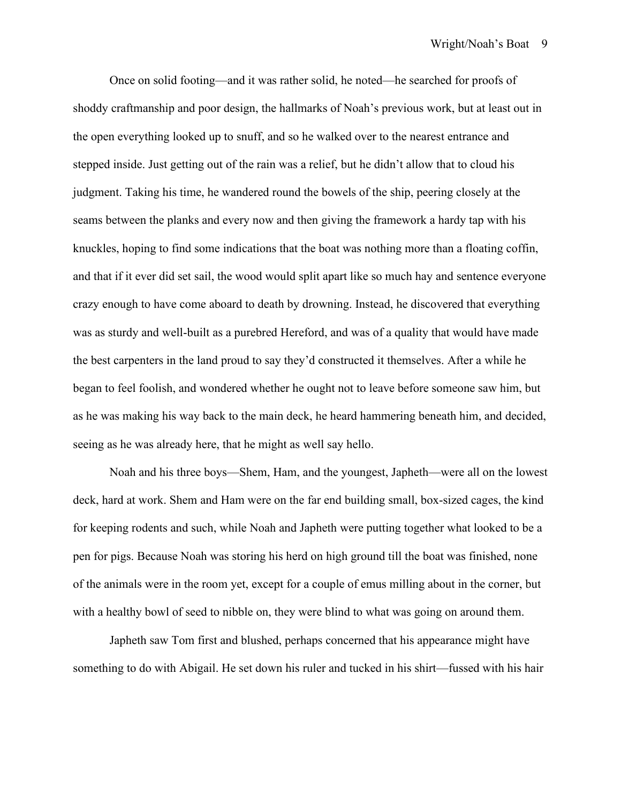Once on solid footing—and it was rather solid, he noted—he searched for proofs of shoddy craftmanship and poor design, the hallmarks of Noah's previous work, but at least out in the open everything looked up to snuff, and so he walked over to the nearest entrance and stepped inside. Just getting out of the rain was a relief, but he didn't allow that to cloud his judgment. Taking his time, he wandered round the bowels of the ship, peering closely at the seams between the planks and every now and then giving the framework a hardy tap with his knuckles, hoping to find some indications that the boat was nothing more than a floating coffin, and that if it ever did set sail, the wood would split apart like so much hay and sentence everyone crazy enough to have come aboard to death by drowning. Instead, he discovered that everything was as sturdy and well-built as a purebred Hereford, and was of a quality that would have made the best carpenters in the land proud to say they'd constructed it themselves. After a while he began to feel foolish, and wondered whether he ought not to leave before someone saw him, but as he was making his way back to the main deck, he heard hammering beneath him, and decided, seeing as he was already here, that he might as well say hello.

Noah and his three boys—Shem, Ham, and the youngest, Japheth—were all on the lowest deck, hard at work. Shem and Ham were on the far end building small, box-sized cages, the kind for keeping rodents and such, while Noah and Japheth were putting together what looked to be a pen for pigs. Because Noah was storing his herd on high ground till the boat was finished, none of the animals were in the room yet, except for a couple of emus milling about in the corner, but with a healthy bowl of seed to nibble on, they were blind to what was going on around them.

Japheth saw Tom first and blushed, perhaps concerned that his appearance might have something to do with Abigail. He set down his ruler and tucked in his shirt—fussed with his hair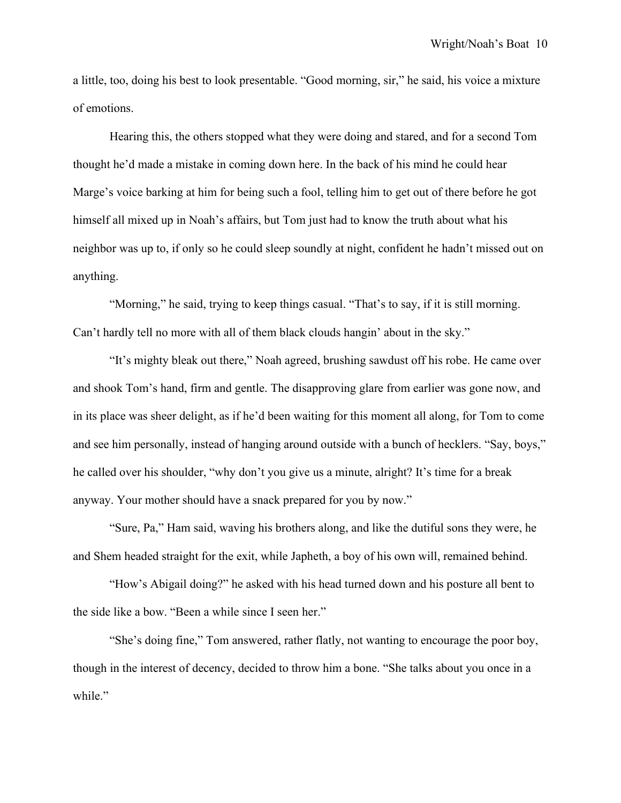a little, too, doing his best to look presentable. "Good morning, sir," he said, his voice a mixture of emotions.

Hearing this, the others stopped what they were doing and stared, and for a second Tom thought he'd made a mistake in coming down here. In the back of his mind he could hear Marge's voice barking at him for being such a fool, telling him to get out of there before he got himself all mixed up in Noah's affairs, but Tom just had to know the truth about what his neighbor was up to, if only so he could sleep soundly at night, confident he hadn't missed out on anything.

"Morning," he said, trying to keep things casual. "That's to say, if it is still morning. Can't hardly tell no more with all of them black clouds hangin' about in the sky."

"It's mighty bleak out there," Noah agreed, brushing sawdust off his robe. He came over and shook Tom's hand, firm and gentle. The disapproving glare from earlier was gone now, and in its place was sheer delight, as if he'd been waiting for this moment all along, for Tom to come and see him personally, instead of hanging around outside with a bunch of hecklers. "Say, boys," he called over his shoulder, "why don't you give us a minute, alright? It's time for a break anyway. Your mother should have a snack prepared for you by now."

"Sure, Pa," Ham said, waving his brothers along, and like the dutiful sons they were, he and Shem headed straight for the exit, while Japheth, a boy of his own will, remained behind.

"How's Abigail doing?" he asked with his head turned down and his posture all bent to the side like a bow. "Been a while since I seen her."

"She's doing fine," Tom answered, rather flatly, not wanting to encourage the poor boy, though in the interest of decency, decided to throw him a bone. "She talks about you once in a while."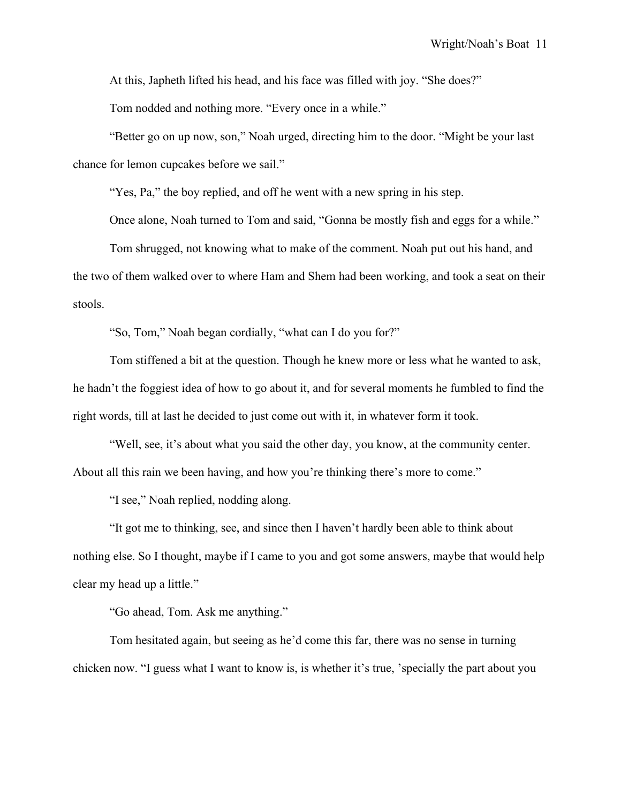At this, Japheth lifted his head, and his face was filled with joy. "She does?"

Tom nodded and nothing more. "Every once in a while."

"Better go on up now, son," Noah urged, directing him to the door. "Might be your last chance for lemon cupcakes before we sail."

"Yes, Pa," the boy replied, and off he went with a new spring in his step.

Once alone, Noah turned to Tom and said, "Gonna be mostly fish and eggs for a while."

Tom shrugged, not knowing what to make of the comment. Noah put out his hand, and the two of them walked over to where Ham and Shem had been working, and took a seat on their stools.

"So, Tom," Noah began cordially, "what can I do you for?"

Tom stiffened a bit at the question. Though he knew more or less what he wanted to ask, he hadn't the foggiest idea of how to go about it, and for several moments he fumbled to find the right words, till at last he decided to just come out with it, in whatever form it took.

"Well, see, it's about what you said the other day, you know, at the community center. About all this rain we been having, and how you're thinking there's more to come."

"I see," Noah replied, nodding along.

"It got me to thinking, see, and since then I haven't hardly been able to think about nothing else. So I thought, maybe if I came to you and got some answers, maybe that would help clear my head up a little."

"Go ahead, Tom. Ask me anything."

Tom hesitated again, but seeing as he'd come this far, there was no sense in turning chicken now. "I guess what I want to know is, is whether it's true, 'specially the part about you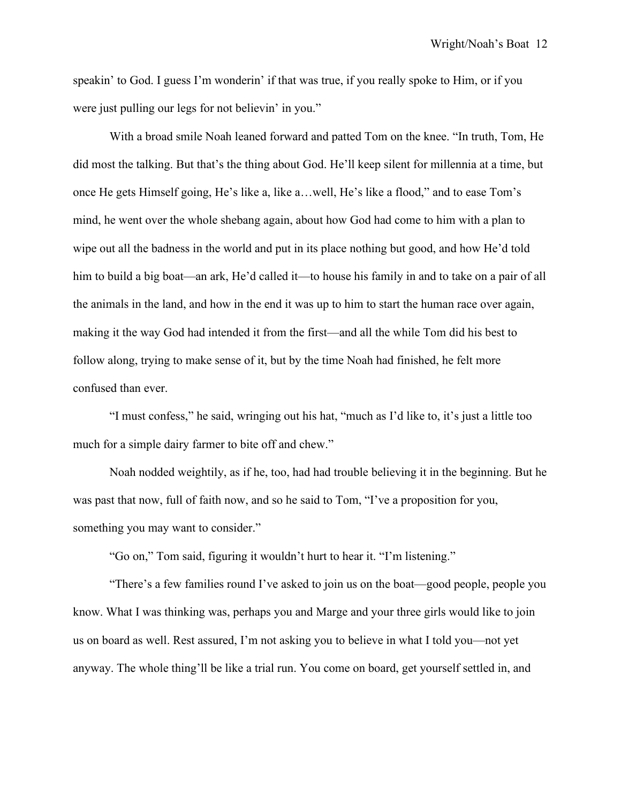speakin' to God. I guess I'm wonderin' if that was true, if you really spoke to Him, or if you were just pulling our legs for not believin' in you."

With a broad smile Noah leaned forward and patted Tom on the knee. "In truth, Tom, He did most the talking. But that's the thing about God. He'll keep silent for millennia at a time, but once He gets Himself going, He's like a, like a…well, He's like a flood," and to ease Tom's mind, he went over the whole shebang again, about how God had come to him with a plan to wipe out all the badness in the world and put in its place nothing but good, and how He'd told him to build a big boat—an ark, He'd called it—to house his family in and to take on a pair of all the animals in the land, and how in the end it was up to him to start the human race over again, making it the way God had intended it from the first—and all the while Tom did his best to follow along, trying to make sense of it, but by the time Noah had finished, he felt more confused than ever.

"I must confess," he said, wringing out his hat, "much as I'd like to, it's just a little too much for a simple dairy farmer to bite off and chew."

Noah nodded weightily, as if he, too, had had trouble believing it in the beginning. But he was past that now, full of faith now, and so he said to Tom, "I've a proposition for you, something you may want to consider."

"Go on," Tom said, figuring it wouldn't hurt to hear it. "I'm listening."

"There's a few families round I've asked to join us on the boat—good people, people you know. What I was thinking was, perhaps you and Marge and your three girls would like to join us on board as well. Rest assured, I'm not asking you to believe in what I told you—not yet anyway. The whole thing'll be like a trial run. You come on board, get yourself settled in, and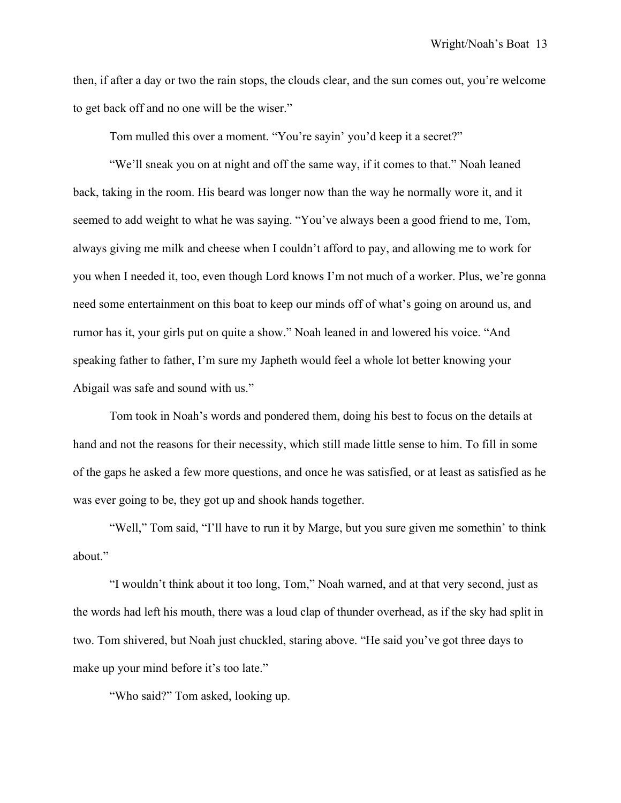then, if after a day or two the rain stops, the clouds clear, and the sun comes out, you're welcome to get back off and no one will be the wiser."

Tom mulled this over a moment. "You're sayin' you'd keep it a secret?"

"We'll sneak you on at night and off the same way, if it comes to that." Noah leaned back, taking in the room. His beard was longer now than the way he normally wore it, and it seemed to add weight to what he was saying. "You've always been a good friend to me, Tom, always giving me milk and cheese when I couldn't afford to pay, and allowing me to work for you when I needed it, too, even though Lord knows I'm not much of a worker. Plus, we're gonna need some entertainment on this boat to keep our minds off of what's going on around us, and rumor has it, your girls put on quite a show." Noah leaned in and lowered his voice. "And speaking father to father, I'm sure my Japheth would feel a whole lot better knowing your Abigail was safe and sound with us."

Tom took in Noah's words and pondered them, doing his best to focus on the details at hand and not the reasons for their necessity, which still made little sense to him. To fill in some of the gaps he asked a few more questions, and once he was satisfied, or at least as satisfied as he was ever going to be, they got up and shook hands together.

"Well," Tom said, "I'll have to run it by Marge, but you sure given me somethin' to think about."

"I wouldn't think about it too long, Tom," Noah warned, and at that very second, just as the words had left his mouth, there was a loud clap of thunder overhead, as if the sky had split in two. Tom shivered, but Noah just chuckled, staring above. "He said you've got three days to make up your mind before it's too late."

"Who said?" Tom asked, looking up.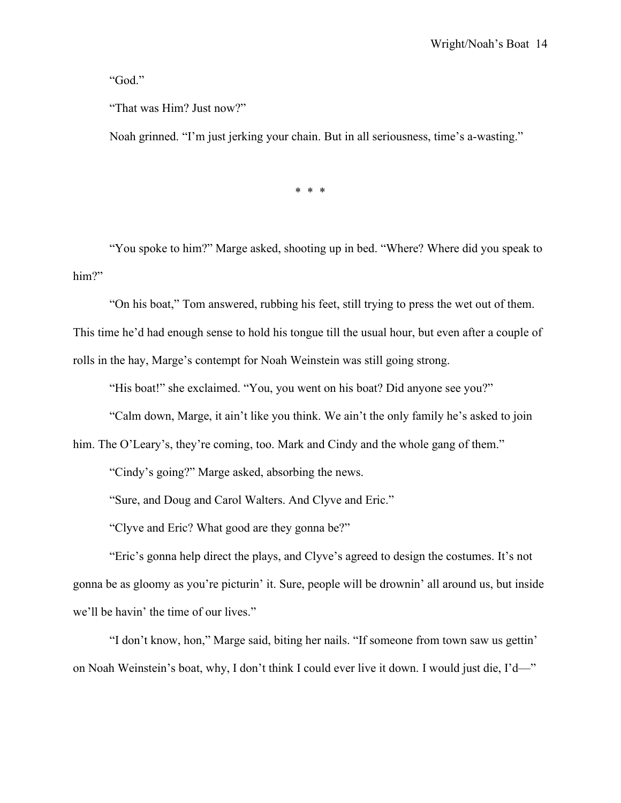"God."

"That was Him? Just now?"

Noah grinned. "I'm just jerking your chain. But in all seriousness, time's a-wasting."

\* \* \*

 "You spoke to him?" Marge asked, shooting up in bed. "Where? Where did you speak to him?"

"On his boat," Tom answered, rubbing his feet, still trying to press the wet out of them.

This time he'd had enough sense to hold his tongue till the usual hour, but even after a couple of rolls in the hay, Marge's contempt for Noah Weinstein was still going strong.

"His boat!" she exclaimed. "You, you went on his boat? Did anyone see you?"

"Calm down, Marge, it ain't like you think. We ain't the only family he's asked to join

him. The O'Leary's, they're coming, too. Mark and Cindy and the whole gang of them."

"Cindy's going?" Marge asked, absorbing the news.

"Sure, and Doug and Carol Walters. And Clyve and Eric."

"Clyve and Eric? What good are they gonna be?"

"Eric's gonna help direct the plays, and Clyve's agreed to design the costumes. It's not gonna be as gloomy as you're picturin' it. Sure, people will be drownin' all around us, but inside we'll be havin' the time of our lives."

"I don't know, hon," Marge said, biting her nails. "If someone from town saw us gettin' on Noah Weinstein's boat, why, I don't think I could ever live it down. I would just die, I'd—"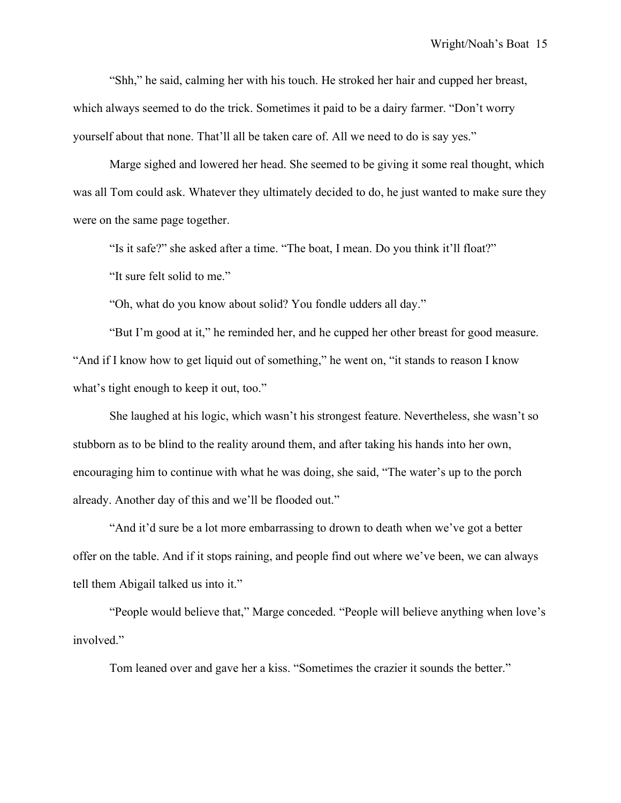"Shh," he said, calming her with his touch. He stroked her hair and cupped her breast, which always seemed to do the trick. Sometimes it paid to be a dairy farmer. "Don't worry yourself about that none. That'll all be taken care of. All we need to do is say yes."

Marge sighed and lowered her head. She seemed to be giving it some real thought, which was all Tom could ask. Whatever they ultimately decided to do, he just wanted to make sure they were on the same page together.

"Is it safe?" she asked after a time. "The boat, I mean. Do you think it'll float?"

"It sure felt solid to me."

"Oh, what do you know about solid? You fondle udders all day."

"But I'm good at it," he reminded her, and he cupped her other breast for good measure. "And if I know how to get liquid out of something," he went on, "it stands to reason I know what's tight enough to keep it out, too."

She laughed at his logic, which wasn't his strongest feature. Nevertheless, she wasn't so stubborn as to be blind to the reality around them, and after taking his hands into her own, encouraging him to continue with what he was doing, she said, "The water's up to the porch already. Another day of this and we'll be flooded out."

"And it'd sure be a lot more embarrassing to drown to death when we've got a better offer on the table. And if it stops raining, and people find out where we've been, we can always tell them Abigail talked us into it."

"People would believe that," Marge conceded. "People will believe anything when love's involved."

Tom leaned over and gave her a kiss. "Sometimes the crazier it sounds the better."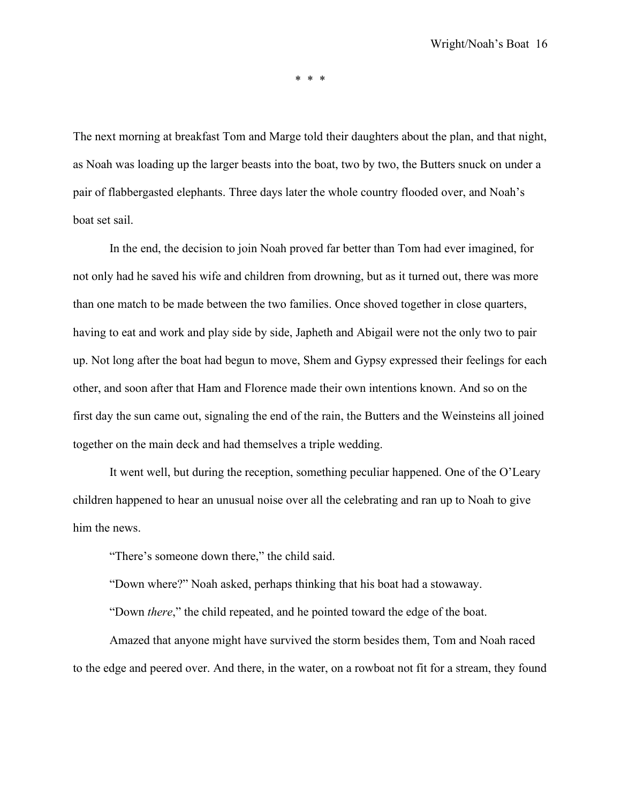\* \* \*

The next morning at breakfast Tom and Marge told their daughters about the plan, and that night, as Noah was loading up the larger beasts into the boat, two by two, the Butters snuck on under a pair of flabbergasted elephants. Three days later the whole country flooded over, and Noah's boat set sail.

In the end, the decision to join Noah proved far better than Tom had ever imagined, for not only had he saved his wife and children from drowning, but as it turned out, there was more than one match to be made between the two families. Once shoved together in close quarters, having to eat and work and play side by side, Japheth and Abigail were not the only two to pair up. Not long after the boat had begun to move, Shem and Gypsy expressed their feelings for each other, and soon after that Ham and Florence made their own intentions known. And so on the first day the sun came out, signaling the end of the rain, the Butters and the Weinsteins all joined together on the main deck and had themselves a triple wedding.

It went well, but during the reception, something peculiar happened. One of the O'Leary children happened to hear an unusual noise over all the celebrating and ran up to Noah to give him the news.

"There's someone down there," the child said.

"Down where?" Noah asked, perhaps thinking that his boat had a stowaway.

"Down *there*," the child repeated, and he pointed toward the edge of the boat.

Amazed that anyone might have survived the storm besides them, Tom and Noah raced to the edge and peered over. And there, in the water, on a rowboat not fit for a stream, they found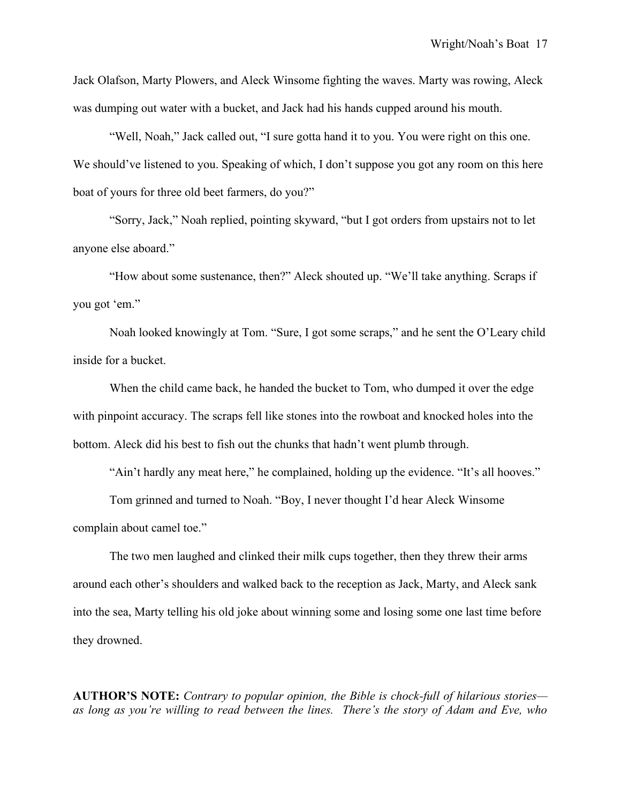Jack Olafson, Marty Plowers, and Aleck Winsome fighting the waves. Marty was rowing, Aleck was dumping out water with a bucket, and Jack had his hands cupped around his mouth.

"Well, Noah," Jack called out, "I sure gotta hand it to you. You were right on this one. We should've listened to you. Speaking of which, I don't suppose you got any room on this here boat of yours for three old beet farmers, do you?"

"Sorry, Jack," Noah replied, pointing skyward, "but I got orders from upstairs not to let anyone else aboard."

"How about some sustenance, then?" Aleck shouted up. "We'll take anything. Scraps if you got 'em."

Noah looked knowingly at Tom. "Sure, I got some scraps," and he sent the O'Leary child inside for a bucket.

When the child came back, he handed the bucket to Tom, who dumped it over the edge with pinpoint accuracy. The scraps fell like stones into the rowboat and knocked holes into the bottom. Aleck did his best to fish out the chunks that hadn't went plumb through.

"Ain't hardly any meat here," he complained, holding up the evidence. "It's all hooves."

Tom grinned and turned to Noah. "Boy, I never thought I'd hear Aleck Winsome complain about camel toe."

The two men laughed and clinked their milk cups together, then they threw their arms around each other's shoulders and walked back to the reception as Jack, Marty, and Aleck sank into the sea, Marty telling his old joke about winning some and losing some one last time before they drowned.

**AUTHOR'S NOTE:** *Contrary to popular opinion, the Bible is chock-full of hilarious stories as long as you're willing to read between the lines. There's the story of Adam and Eve, who*